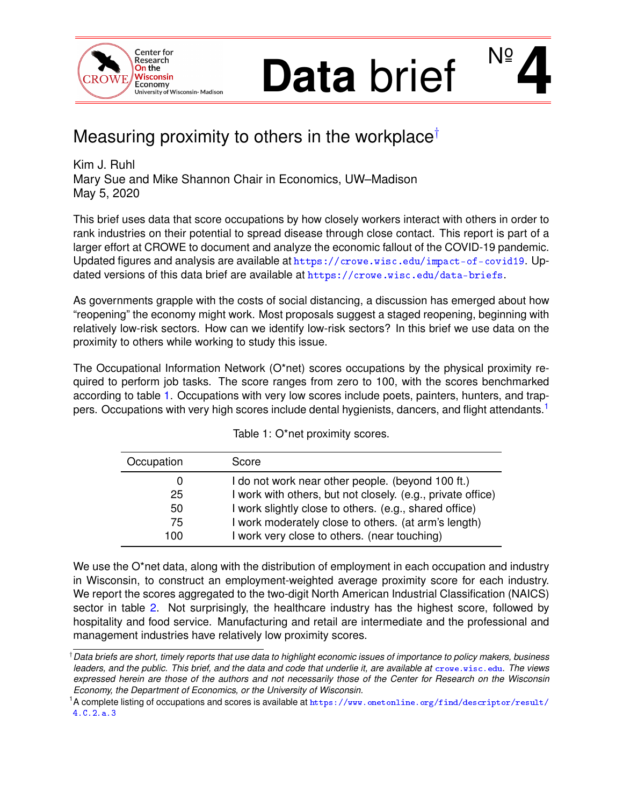<span id="page-0-1"></span>

# **Data** brief **4**  $N_{\mathsf{S}}$

## Measuring proximity to others in the workplace†

Kim J. Ruhl Mary Sue and Mike Shannon Chair in Economics, UW–Madison May 5, 2020

This brief uses data that score occupations by how closely workers interact with others in order to rank industries on their potential to spread disease through close contact. This report is part of a larger effort at CROWE to document and analyze the economic fallout of the COVID-19 pandemic. Updated figures and analysis are available at <https://crowe.wisc.edu/impact-of-covid19>. Updated versions of this data brief are available at <https://crowe.wisc.edu/data-briefs>.

As governments grapple with the costs of social distancing, a discussion has emerged about how "reopening" the economy might work. Most proposals suggest a staged reopening, beginning with relatively low-risk sectors. How can we identify low-risk sectors? In this brief we use data on the proximity to others while working to study this issue.

The Occupational Information Network (O\*net) scores occupations by the physical proximity required to perform job tasks. The score ranges from zero to 100, with the scores benchmarked according to table [1.](#page-0-0) Occupations with very low scores include poets, painters, hunters, and trappers. Occupations with very high scores include dental hygienists, dancers, and flight attendants.<sup>1</sup>

<span id="page-0-0"></span>

| Occupation | Score                                                       |
|------------|-------------------------------------------------------------|
|            | I do not work near other people. (beyond 100 ft.)           |
| 25         | I work with others, but not closely. (e.g., private office) |
| 50         | I work slightly close to others. (e.g., shared office)      |
| 75         | I work moderately close to others. (at arm's length)        |
| 100        | I work very close to others. (near touching)                |

Table 1: O\*net proximity scores.

We use the O\*net data, along with the distribution of employment in each occupation and industry in Wisconsin, to construct an employment-weighted average proximity score for each industry. We report the scores aggregated to the two-digit North American Industrial Classification (NAICS) sector in table [2.](#page-1-0) Not surprisingly, the healthcare industry has the highest score, followed by hospitality and food service. Manufacturing and retail are intermediate and the professional and management industries have relatively low proximity scores.

<sup>†</sup>*Data briefs are short, timely reports that use data to highlight economic issues of importance to policy makers, business leaders, and the public. This brief, and the data and code that underlie it, are available at* [crowe.wisc.edu](http://crowe.wisc.edu). *The views expressed herein are those of the authors and not necessarily those of the Center for Research on the Wisconsin Economy, the Department of Economics, or the University of Wisconsin.*

 $^1$ A complete listing of occupations and scores is available at  $\hbox{https}$  : //www.onetonline.org/find/descriptor/result/ [4.C.2.a.3](https://www.onetonline.org/find/descriptor/result/4.C.2.a.3)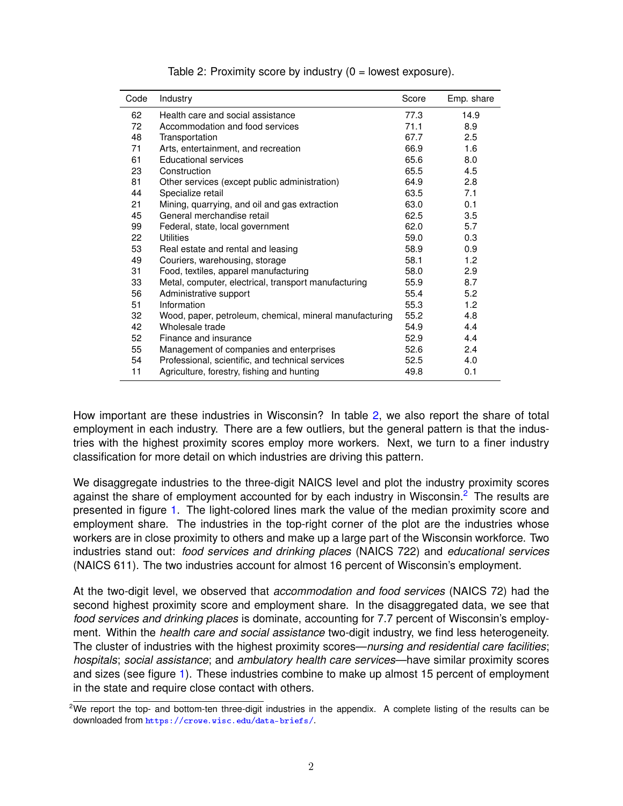<span id="page-1-0"></span>

| Code | Industry                                                | Score | Emp. share |
|------|---------------------------------------------------------|-------|------------|
| 62   | Health care and social assistance                       | 77.3  | 14.9       |
| 72   | Accommodation and food services                         | 71.1  | 8.9        |
| 48   | Transportation                                          | 67.7  | 2.5        |
| 71   | Arts, entertainment, and recreation                     | 66.9  | 1.6        |
| 61   | <b>Educational services</b>                             | 65.6  | 8.0        |
| 23   | Construction                                            | 65.5  | 4.5        |
| 81   | Other services (except public administration)           | 64.9  | 2.8        |
| 44   | Specialize retail                                       | 63.5  | 7.1        |
| 21   | Mining, quarrying, and oil and gas extraction           | 63.0  | 0.1        |
| 45   | General merchandise retail                              | 62.5  | 3.5        |
| 99   | Federal, state, local government                        | 62.0  | 5.7        |
| 22   | Utilities                                               | 59.0  | 0.3        |
| 53   | Real estate and rental and leasing                      | 58.9  | 0.9        |
| 49   | Couriers, warehousing, storage                          | 58.1  | 1.2        |
| 31   | Food, textiles, apparel manufacturing                   | 58.0  | 2.9        |
| 33   | Metal, computer, electrical, transport manufacturing    | 55.9  | 8.7        |
| 56   | Administrative support                                  | 55.4  | 5.2        |
| 51   | Information                                             | 55.3  | 1.2        |
| 32   | Wood, paper, petroleum, chemical, mineral manufacturing | 55.2  | 4.8        |
| 42   | Wholesale trade                                         | 54.9  | 4.4        |
| 52   | Finance and insurance                                   | 52.9  | 4.4        |
| 55   | Management of companies and enterprises                 | 52.6  | 2.4        |
| 54   | Professional, scientific, and technical services        | 52.5  | 4.0        |
| 11   | Agriculture, forestry, fishing and hunting              | 49.8  | 0.1        |

| Table 2: Proximity score by industry $(0 =$ lowest exposure). |  |  |
|---------------------------------------------------------------|--|--|
|---------------------------------------------------------------|--|--|

How important are these industries in Wisconsin? In table [2,](#page-1-0) we also report the share of total employment in each industry. There are a few outliers, but the general pattern is that the industries with the highest proximity scores employ more workers. Next, we turn to a finer industry classification for more detail on which industries are driving this pattern.

We disaggregate industries to the three-digit NAICS level and plot the industry proximity scores against the share of employment accounted for by each industry in Wisconsin.<sup>[2](#page-0-1)</sup> The results are presented in figure [1.](#page-2-0) The light-colored lines mark the value of the median proximity score and employment share. The industries in the top-right corner of the plot are the industries whose workers are in close proximity to others and make up a large part of the Wisconsin workforce. Two industries stand out: *food services and drinking places* (NAICS 722) and *educational services* (NAICS 611). The two industries account for almost 16 percent of Wisconsin's employment.

At the two-digit level, we observed that *accommodation and food services* (NAICS 72) had the second highest proximity score and employment share. In the disaggregated data, we see that *food services and drinking places* is dominate, accounting for 7.7 percent of Wisconsin's employment. Within the *health care and social assistance* two-digit industry, we find less heterogeneity. The cluster of industries with the highest proximity scores—*nursing and residential care facilities*; *hospitals*; *social assistance*; and *ambulatory health care services*—have similar proximity scores and sizes (see figure [1\)](#page-2-0). These industries combine to make up almost 15 percent of employment in the state and require close contact with others.

<sup>&</sup>lt;sup>2</sup>We report the top- and bottom-ten three-digit industries in the appendix. A complete listing of the results can be downloaded from <https://crowe.wisc.edu/data-briefs/>.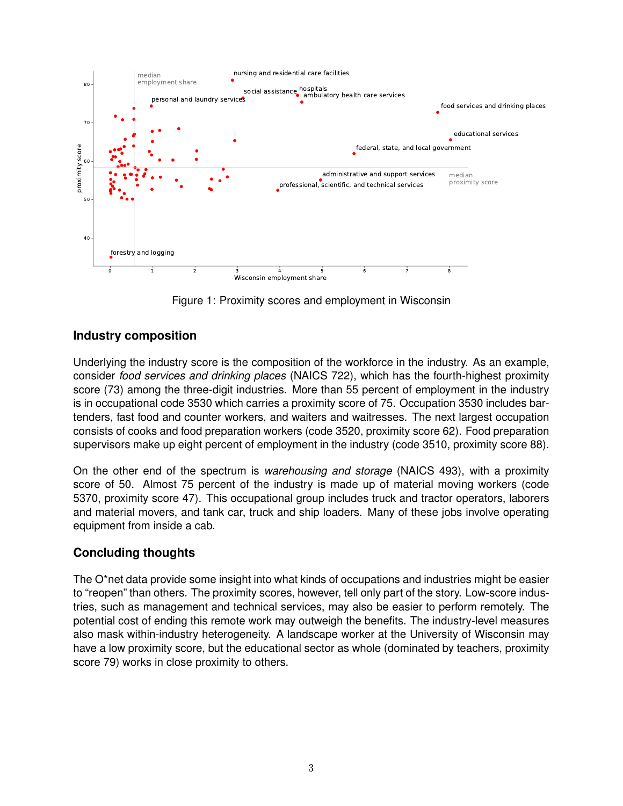<span id="page-2-0"></span>

Figure 1: Proximity scores and employment in Wisconsin

#### **Industry composition**

Underlying the industry score is the composition of the workforce in the industry. As an example, consider *food services and drinking places* (NAICS 722), which has the fourth-highest proximity score (73) among the three-digit industries. More than 55 percent of employment in the industry is in occupational code 3530 which carries a proximity score of 75. Occupation 3530 includes bartenders, fast food and counter workers, and waiters and waitresses. The next largest occupation consists of cooks and food preparation workers (code 3520, proximity score 62). Food preparation supervisors make up eight percent of employment in the industry (code 3510, proximity score 88).

On the other end of the spectrum is *warehousing and storage* (NAICS 493), with a proximity score of 50. Almost 75 percent of the industry is made up of material moving workers (code 5370, proximity score 47). This occupational group includes truck and tractor operators, laborers and material movers, and tank car, truck and ship loaders. Many of these jobs involve operating equipment from inside a cab.

#### **Concluding thoughts**

The O\*net data provide some insight into what kinds of occupations and industries might be easier to "reopen" than others. The proximity scores, however, tell only part of the story. Low-score industries, such as management and technical services, may also be easier to perform remotely. The potential cost of ending this remote work may outweigh the benefits. The industry-level measures also mask within-industry heterogeneity. A landscape worker at the University of Wisconsin may have a low proximity score, but the educational sector as whole (dominated by teachers, proximity score 79) works in close proximity to others.